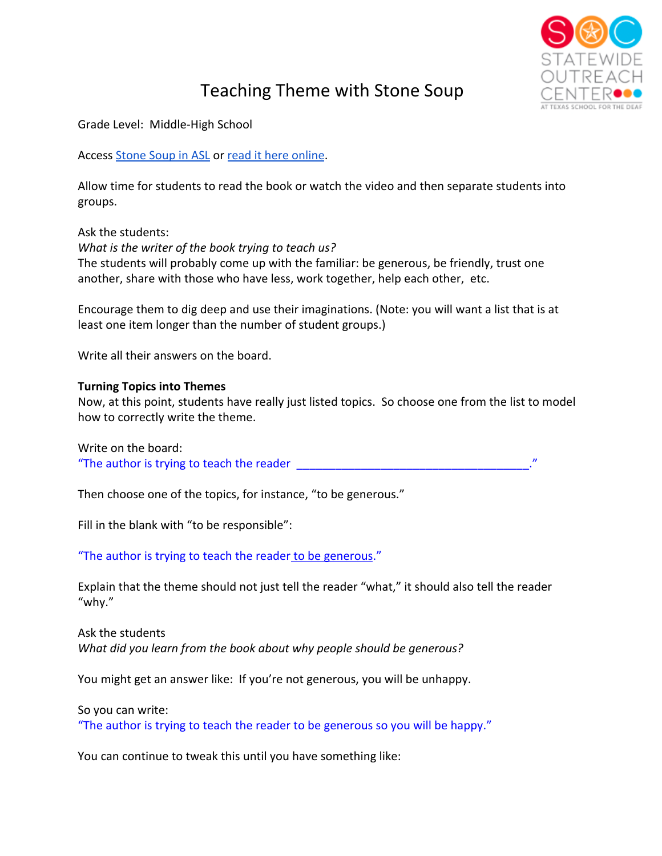

## Teaching Theme with Stone Soup

Grade Level: Middle-High School

Access [Stone Soup in ASL](https://www.texasdeafed.org/Page/1043) or [read it here online](https://thirdgraderms.files.wordpress.com/2015/10/unit3-johnnyappleseedpgs25to30.pdf).

Allow time for students to read the book or watch the video and then separate students into groups.

Ask the students: *What is the writer of the book trying to teach us?* The students will probably come up with the familiar: be generous, be friendly, trust one another, share with those who have less, work together, help each other, etc.

Encourage them to dig deep and use their imaginations. (Note: you will want a list that is at least one item longer than the number of student groups.)

Write all their answers on the board.

## **Turning Topics into Themes**

Now, at this point, students have really just listed topics. So choose one from the list to model how to correctly write the theme.

Write on the board: "The author is trying to teach the reader

Then choose one of the topics, for instance, "to be generous."

Fill in the blank with "to be responsible":

"The author is trying to teach the reader to be generous."

Explain that the theme should not just tell the reader "what," it should also tell the reader "why."

Ask the students *What did you learn from the book about why people should be generous?*

You might get an answer like: If you're not generous, you will be unhappy.

So you can write:

"The author is trying to teach the reader to be generous so you will be happy."

You can continue to tweak this until you have something like: